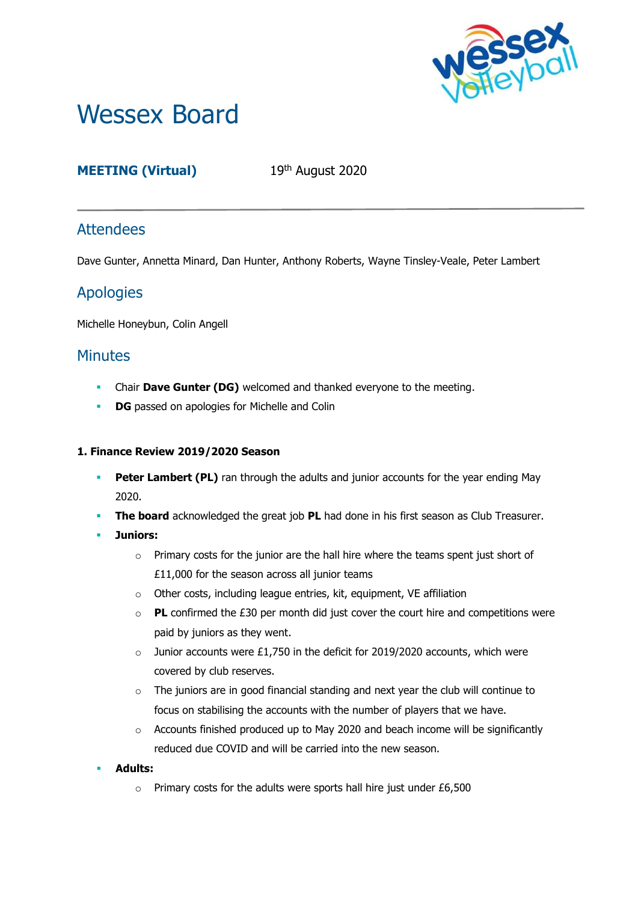

# Wessex Board

# **MEETING (Virtual)** 19th August 2020

## **Attendees**

Dave Gunter, Annetta Minard, Dan Hunter, Anthony Roberts, Wayne Tinsley-Veale, Peter Lambert

## Apologies

Michelle Honeybun, Colin Angell

## **Minutes**

- **EXECUTE:** Chair **Dave Gunter (DG)** welcomed and thanked everyone to the meeting.
- **DG** passed on apologies for Michelle and Colin

#### **1. Finance Review 2019/2020 Season**

- **Peter Lambert (PL)** ran through the adults and junior accounts for the year ending May 2020.
- **The board** acknowledged the great job PL had done in his first season as Club Treasurer.
- **Juniors:**
	- $\circ$  Primary costs for the junior are the hall hire where the teams spent just short of £11,000 for the season across all junior teams
	- o Other costs, including league entries, kit, equipment, VE affiliation
	- o **PL** confirmed the £30 per month did just cover the court hire and competitions were paid by juniors as they went.
	- $\circ$  Junior accounts were £1,750 in the deficit for 2019/2020 accounts, which were covered by club reserves.
	- o The juniors are in good financial standing and next year the club will continue to focus on stabilising the accounts with the number of players that we have.
	- $\circ$  Accounts finished produced up to May 2020 and beach income will be significantly reduced due COVID and will be carried into the new season.
- **Adults:**
	- $\circ$  Primary costs for the adults were sports hall hire just under £6,500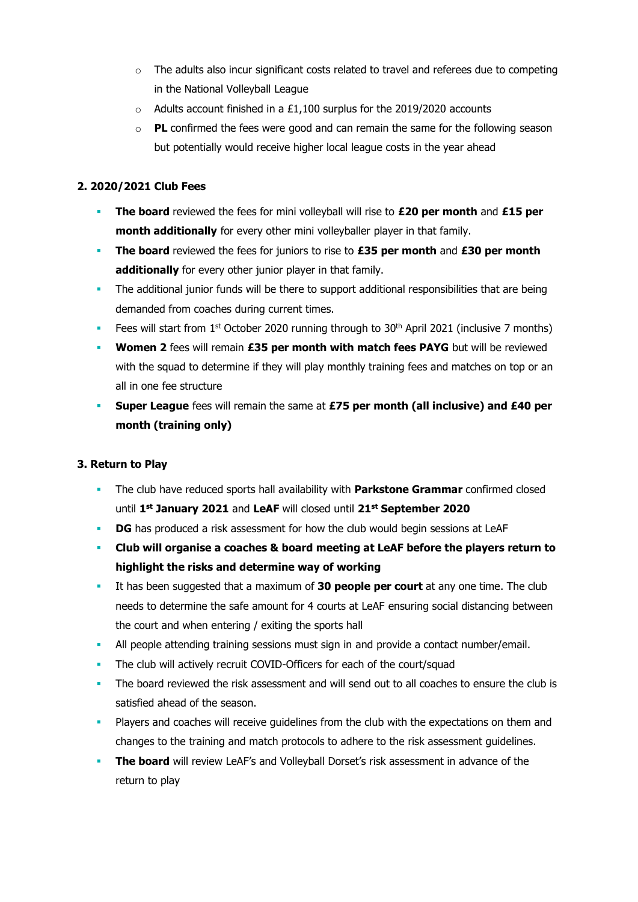- $\circ$  The adults also incur significant costs related to travel and referees due to competing in the National Volleyball League
- $\circ$  Adults account finished in a £1,100 surplus for the 2019/2020 accounts
- o **PL** confirmed the fees were good and can remain the same for the following season but potentially would receive higher local league costs in the year ahead

#### **2. 2020/2021 Club Fees**

- **The board** reviewed the fees for mini volleyball will rise to **£20 per month** and **£15 per month additionally** for every other mini volleyballer player in that family.
- **The board** reviewed the fees for juniors to rise to **£35 per month** and **£30 per month additionally** for every other junior player in that family.
- **•** The additional junior funds will be there to support additional responsibilities that are being demanded from coaches during current times.
- Fees will start from 1<sup>st</sup> October 2020 running through to 30<sup>th</sup> April 2021 (inclusive 7 months)
- **Women 2** fees will remain £35 per month with match fees PAYG but will be reviewed with the squad to determine if they will play monthly training fees and matches on top or an all in one fee structure
- **Super League** fees will remain the same at £75 per month (all inclusive) and £40 per **month (training only)**

#### **3. Return to Play**

- The club have reduced sports hall availability with **Parkstone Grammar** confirmed closed until **1 st January 2021** and **LeAF** will closed until **21st September 2020**
- **DG** has produced a risk assessment for how the club would begin sessions at LeAF
- **Club will organise a coaches & board meeting at LeAF before the players return to highlight the risks and determine way of working**
- It has been suggested that a maximum of **30 people per court** at any one time. The club needs to determine the safe amount for 4 courts at LeAF ensuring social distancing between the court and when entering / exiting the sports hall
- **All people attending training sessions must sign in and provide a contact number/email.**
- The club will actively recruit COVID-Officers for each of the court/squad
- The board reviewed the risk assessment and will send out to all coaches to ensure the club is satisfied ahead of the season.
- **Players and coaches will receive quidelines from the club with the expectations on them and** changes to the training and match protocols to adhere to the risk assessment guidelines.
- **The board** will review LeAF's and Volleyball Dorset's risk assessment in advance of the return to play